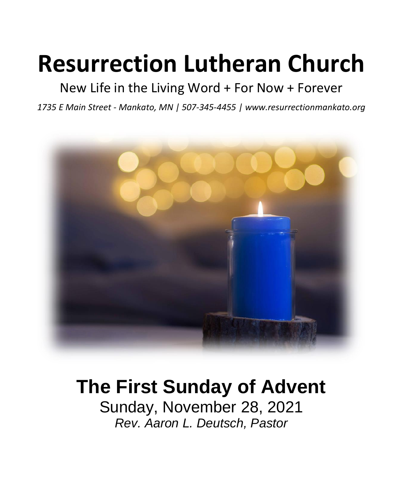# **Resurrection Lutheran Church**

# New Life in the Living Word + For Now + Forever

*1735 E Main Street - Mankato, MN | 507-345-4455 | [www.resurrectionmankato.org](http://www.resurrectionmankato.org/)*



# **The First Sunday of Advent**

Sunday, November 28, 2021 *Rev. Aaron L. Deutsch, Pastor*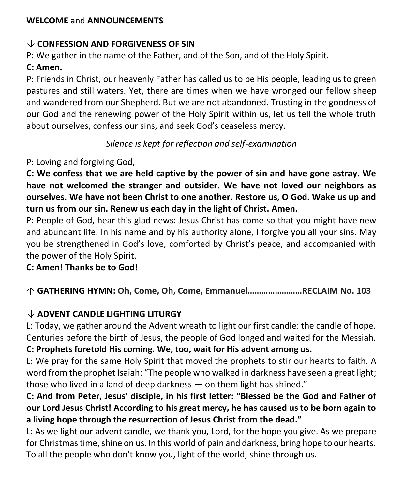#### **WELCOME** and **ANNOUNCEMENTS**

#### **CONFESSION AND FORGIVENESS OF SIN**

P: We gather in the name of the Father, and of the Son, and of the Holy Spirit.

### **C: Amen.**

P: Friends in Christ, our heavenly Father has called us to be His people, leading us to green pastures and still waters. Yet, there are times when we have wronged our fellow sheep and wandered from our Shepherd. But we are not abandoned. Trusting in the goodness of our God and the renewing power of the Holy Spirit within us, let us tell the whole truth about ourselves, confess our sins, and seek God's ceaseless mercy.

*Silence is kept for reflection and self-examination*

#### P: Loving and forgiving God,

**C: We confess that we are held captive by the power of sin and have gone astray. We have not welcomed the stranger and outsider. We have not loved our neighbors as ourselves. We have not been Christ to one another. Restore us, O God. Wake us up and turn us from our sin. Renew us each day in the light of Christ. Amen.**

P: People of God, hear this glad news: Jesus Christ has come so that you might have new and abundant life. In his name and by his authority alone, I forgive you all your sins. May you be strengthened in God's love, comforted by Christ's peace, and accompanied with the power of the Holy Spirit.

#### **C: Amen! Thanks be to God!**

# **GATHERING HYMN: Oh, Come, Oh, Come, Emmanuel……………………RECLAIM No. 103**

# **ADVENT CANDLE LIGHTING LITURGY**

L: Today, we gather around the Advent wreath to light our first candle: the candle of hope. Centuries before the birth of Jesus, the people of God longed and waited for the Messiah. **C: Prophets foretold His coming. We, too, wait for His advent among us.** 

L: We pray for the same Holy Spirit that moved the prophets to stir our hearts to faith. A word from the prophet Isaiah: "The people who walked in darkness have seen a great light; those who lived in a land of deep darkness — on them light has shined."

### **C: And from Peter, Jesus' disciple, in his first letter: "Blessed be the God and Father of our Lord Jesus Christ! According to his great mercy, he has caused us to be born again to a living hope through the resurrection of Jesus Christ from the dead."**

L: As we light our advent candle, we thank you, Lord, for the hope you give. As we prepare for Christmas time, shine on us. In this world of pain and darkness, bring hope to our hearts. To all the people who don't know you, light of the world, shine through us.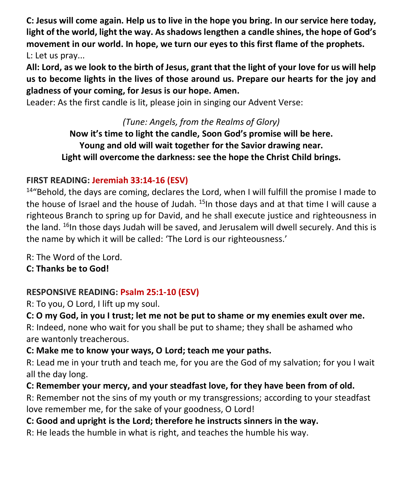**C: Jesus will come again. Help us to live in the hope you bring. In our service here today, light of the world, light the way. As shadows lengthen a candle shines, the hope of God's movement in our world. In hope, we turn our eyes to this first flame of the prophets.**  L: Let us pray...

**All: Lord, as we look to the birth of Jesus, grant that the light of your love for us will help us to become lights in the lives of those around us. Prepare our hearts for the joy and gladness of your coming, for Jesus is our hope. Amen.**

Leader: As the first candle is lit, please join in singing our Advent Verse:

*(Tune: Angels, from the Realms of Glory)* **Now it's time to light the candle, Soon God's promise will be here. Young and old will wait together for the Savior drawing near. Light will overcome the darkness: see the hope the Christ Child brings.**

# **FIRST READING: Jeremiah 33:14-16 (ESV)**

 $14$ "Behold, the days are coming, declares the Lord, when I will fulfill the promise I made to the house of Israel and the house of Judah.  $^{15}$ In those days and at that time I will cause a righteous Branch to spring up for David, and he shall execute justice and righteousness in the land.  $^{16}$ In those days Judah will be saved, and Jerusalem will dwell securely. And this is the name by which it will be called: 'The Lord is our righteousness.'

R: The Word of the Lord.

**C: Thanks be to God!** 

# **RESPONSIVE READING: Psalm 25:1-10 (ESV)**

R: To you, O Lord, I lift up my soul.

**C: O my God, in you I trust; let me not be put to shame or my enemies exult over me.** R: Indeed, none who wait for you shall be put to shame; they shall be ashamed who are wantonly treacherous.

# **C: Make me to know your ways, O Lord; teach me your paths.**

R: Lead me in your truth and teach me, for you are the God of my salvation; for you I wait all the day long.

# **C: Remember your mercy, and your steadfast love, for they have been from of old.**

R: Remember not the sins of my youth or my transgressions; according to your steadfast love remember me, for the sake of your goodness, O Lord!

# **C: Good and upright is the Lord; therefore he instructs sinners in the way.**

R: He leads the humble in what is right, and teaches the humble his way.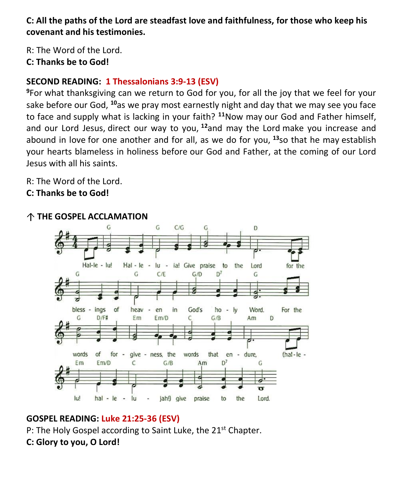**C: All the paths of the Lord are steadfast love and faithfulness, for those who keep his covenant and his testimonies.**

R: The Word of the Lord. **C: Thanks be to God!** 

#### **SECOND READING: 1 Thessalonians 3:9-13 (ESV)**

**<sup>9</sup>**For what thanksgiving can we return to God for you, for all the joy that we feel for your sake before our God, **<sup>10</sup>**as we pray most earnestly night and day that we may see you face to face and supply what is lacking in your faith? **<sup>11</sup>**Now may our God and Father himself, and our Lord Jesus, direct our way to you, **<sup>12</sup>**and may the Lord make you increase and abound in love for one another and for all, as we do for you, **<sup>13</sup>**so that he may establish your hearts blameless in holiness before our God and Father, at the coming of our Lord Jesus with all his saints.

R: The Word of the Lord.

**C: Thanks be to God!** 



#### **THE GOSPEL ACCLAMATION**

#### **GOSPEL READING: Luke 21:25-36 (ESV)**

P: The Holy Gospel according to Saint Luke, the 21<sup>st</sup> Chapter.

#### **C: Glory to you, O Lord!**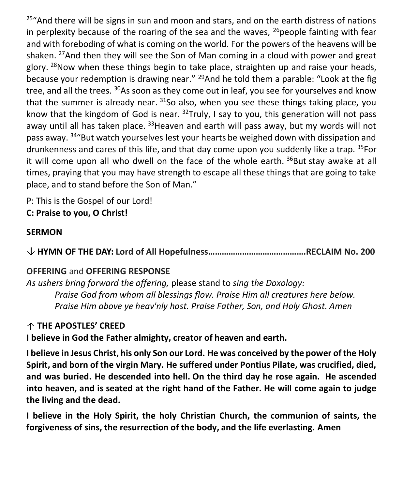$25$ "And there will be signs in sun and moon and stars, and on the earth distress of nations in perplexity because of the roaring of the sea and the waves,  $^{26}$  people fainting with fear and with foreboding of what is coming on the world. For the powers of the heavens will be shaken. <sup>27</sup>And then they will see the Son of Man coming in a cloud with power and great glory.  $28$ Now when these things begin to take place, straighten up and raise your heads, because your redemption is drawing near."  $^{29}$ And he told them a parable: "Look at the fig tree, and all the trees. <sup>30</sup>As soon as they come out in leaf, you see for yourselves and know that the summer is already near.  $31$ So also, when you see these things taking place, you know that the kingdom of God is near.  $32$ Truly, I say to you, this generation will not pass away until all has taken place. <sup>33</sup>Heaven and earth will pass away, but my words will not pass away. <sup>34</sup> But watch yourselves lest your hearts be weighed down with dissipation and drunkenness and cares of this life, and that day come upon you suddenly like a trap. 35For it will come upon all who dwell on the face of the whole earth.  $36$ But stay awake at all times, praying that you may have strength to escape all these things that are going to take place, and to stand before the Son of Man."

P: This is the Gospel of our Lord!

**C: Praise to you, O Christ!** 

#### **SERMON**

**HYMN OF THE DAY: Lord of All Hopefulness…………………………………….RECLAIM No. 200**

#### **OFFERING** and **OFFERING RESPONSE**

*As ushers bring forward the offering,* please stand to *sing the Doxology: Praise God from whom all blessings flow. Praise Him all creatures here below. Praise Him above ye heav'nly host. Praise Father, Son, and Holy Ghost. Amen*

#### **THE APOSTLES' CREED**

**I believe in God the Father almighty, creator of heaven and earth.**

**I believe in Jesus Christ, his only Son our Lord. He was conceived by the power of the Holy Spirit, and born of the virgin Mary. He suffered under Pontius Pilate, was crucified, died, and was buried. He descended into hell. On the third day he rose again. He ascended into heaven, and is seated at the right hand of the Father. He will come again to judge the living and the dead.**

**I believe in the Holy Spirit, the holy Christian Church, the communion of saints, the forgiveness of sins, the resurrection of the body, and the life everlasting. Amen**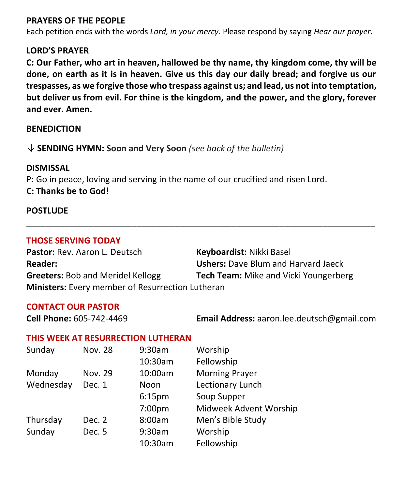#### **PRAYERS OF THE PEOPLE**

Each petition ends with the words *Lord, in your mercy*. Please respond by saying *Hear our prayer.*

#### **LORD'S PRAYER**

**C: Our Father, who art in heaven, hallowed be thy name, thy kingdom come, thy will be done, on earth as it is in heaven. Give us this day our daily bread; and forgive us our trespasses, as we forgive those who trespass against us; and lead, us not into temptation, but deliver us from evil. For thine is the kingdom, and the power, and the glory, forever and ever. Amen.**

**\_\_\_\_\_\_\_\_\_\_\_\_\_\_\_\_\_\_\_\_\_\_\_\_\_\_\_\_\_\_\_\_\_\_\_\_\_\_\_\_\_\_\_\_\_\_\_\_\_\_\_\_\_\_\_\_\_\_\_\_\_\_\_\_\_\_\_\_\_\_\_\_\_**

#### **BENEDICTION**

#### **SENDING HYMN: Soon and Very Soon** *(see back of the bulletin)*

#### **DISMISSAL**

P: Go in peace, loving and serving in the name of our crucified and risen Lord. **C: Thanks be to God!**

#### **POSTLUDE**

#### **THOSE SERVING TODAY**

Pastor: Rev. Aaron L. Deutsch **Keyboardist:** Nikki Basel **Reader: Ushers:** Dave Blum and Harvard Jaeck **Greeters:** Bob and Meridel Kellogg **Tech Team:** Mike and Vicki Youngerberg **Ministers:** Every member of Resurrection Lutheran

#### **CONTACT OUR PASTOR**

**Cell Phone:** 605-742-4469 **Email Address:** [aaron.lee.deutsch@gmail.com](mailto:aaron.lee.deutsch@gmail.com)

#### **THIS WEEK AT RESURRECTION LUTHERAN**

| Sunday    | <b>Nov. 28</b> | 9:30am             | Worship                |
|-----------|----------------|--------------------|------------------------|
|           |                | 10:30am            | Fellowship             |
| Monday    | Nov. 29        | 10:00am            | <b>Morning Prayer</b>  |
| Wednesday | Dec. 1         | Noon               | Lectionary Lunch       |
|           |                | 6:15 <sub>pm</sub> | Soup Supper            |
|           |                | 7:00 <sub>pm</sub> | Midweek Advent Worship |
| Thursday  | Dec. 2         | 8:00am             | Men's Bible Study      |
| Sunday    | Dec. 5         | 9:30am             | Worship                |
|           |                | 10:30am            | Fellowship             |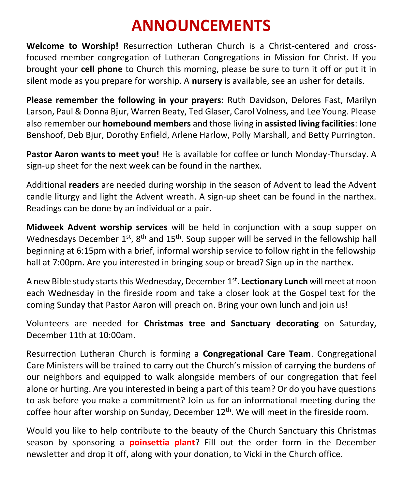# **ANNOUNCEMENTS**

**Welcome to Worship!** Resurrection Lutheran Church is a Christ-centered and crossfocused member congregation of Lutheran Congregations in Mission for Christ. If you brought your **cell phone** to Church this morning, please be sure to turn it off or put it in silent mode as you prepare for worship. A **nursery** is available, see an usher for details.

**Please remember the following in your prayers:** Ruth Davidson, Delores Fast, Marilyn Larson, Paul & Donna Bjur, Warren Beaty, Ted Glaser, Carol Volness, and Lee Young. Please also remember our **homebound members** and those living in **assisted living facilities**: Ione Benshoof, Deb Bjur, Dorothy Enfield, Arlene Harlow, Polly Marshall, and Betty Purrington.

**Pastor Aaron wants to meet you!** He is available for coffee or lunch Monday-Thursday. A sign-up sheet for the next week can be found in the narthex.

Additional **readers** are needed during worship in the season of Advent to lead the Advent candle liturgy and light the Advent wreath. A sign-up sheet can be found in the narthex. Readings can be done by an individual or a pair.

**Midweek Advent worship services** will be held in conjunction with a soup supper on Wednesdays December  $1^{st}$ ,  $8^{th}$  and  $15^{th}$ . Soup supper will be served in the fellowship hall beginning at 6:15pm with a brief, informal worship service to follow right in the fellowship hall at 7:00pm. Are you interested in bringing soup or bread? Sign up in the narthex.

A new Bible study starts this Wednesday, December 1<sup>st</sup>. **Lectionary Lunch** will meet at noon each Wednesday in the fireside room and take a closer look at the Gospel text for the coming Sunday that Pastor Aaron will preach on. Bring your own lunch and join us!

Volunteers are needed for **Christmas tree and Sanctuary decorating** on Saturday, December 11th at 10:00am.

Resurrection Lutheran Church is forming a **Congregational Care Team**. Congregational Care Ministers will be trained to carry out the Church's mission of carrying the burdens of our neighbors and equipped to walk alongside members of our congregation that feel alone or hurting. Are you interested in being a part of this team? Or do you have questions to ask before you make a commitment? Join us for an informational meeting during the coffee hour after worship on Sunday, December  $12<sup>th</sup>$ . We will meet in the fireside room.

Would you like to help contribute to the beauty of the Church Sanctuary this Christmas season by sponsoring a **poinsettia plant**? Fill out the order form in the December newsletter and drop it off, along with your donation, to Vicki in the Church office.